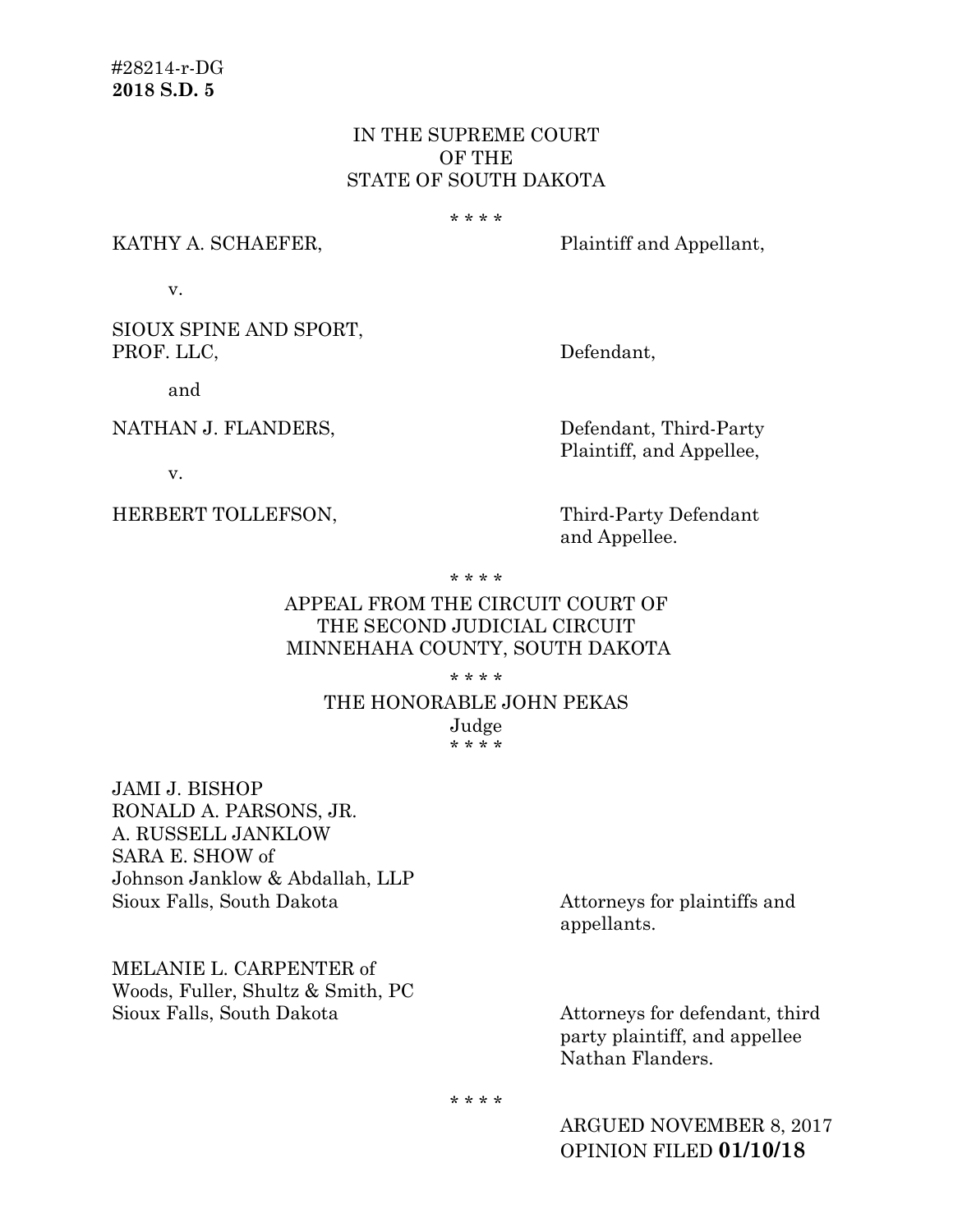# IN THE SUPREME COURT OF THE STATE OF SOUTH DAKOTA

#### \* \* \* \*

#### KATHY A. SCHAEFER, Plaintiff and Appellant,

v.

SIOUX SPINE AND SPORT, PROF. LLC, Defendant,

and

NATHAN J. FLANDERS, Defendant, Third-Party

Plaintiff, and Appellee,

v.

HERBERT TOLLEFSON, Third-Party Defendant

and Appellee.

\* \* \* \*

# APPEAL FROM THE CIRCUIT COURT OF THE SECOND JUDICIAL CIRCUIT MINNEHAHA COUNTY, SOUTH DAKOTA

\* \* \* \*

## THE HONORABLE JOHN PEKAS Judge

\* \* \* \*

JAMI J. BISHOP RONALD A. PARSONS, JR. A. RUSSELL JANKLOW SARA E. SHOW of Johnson Janklow & Abdallah, LLP Sioux Falls, South Dakota **Attorneys** for plaintiffs and

MELANIE L. CARPENTER of Woods, Fuller, Shultz & Smith, PC Sioux Falls, South Dakota Attorneys for defendant, third

appellants.

party plaintiff, and appellee Nathan Flanders.

\* \* \* \*

ARGUED NOVEMBER 8, 2017 OPINION FILED **01/10/18**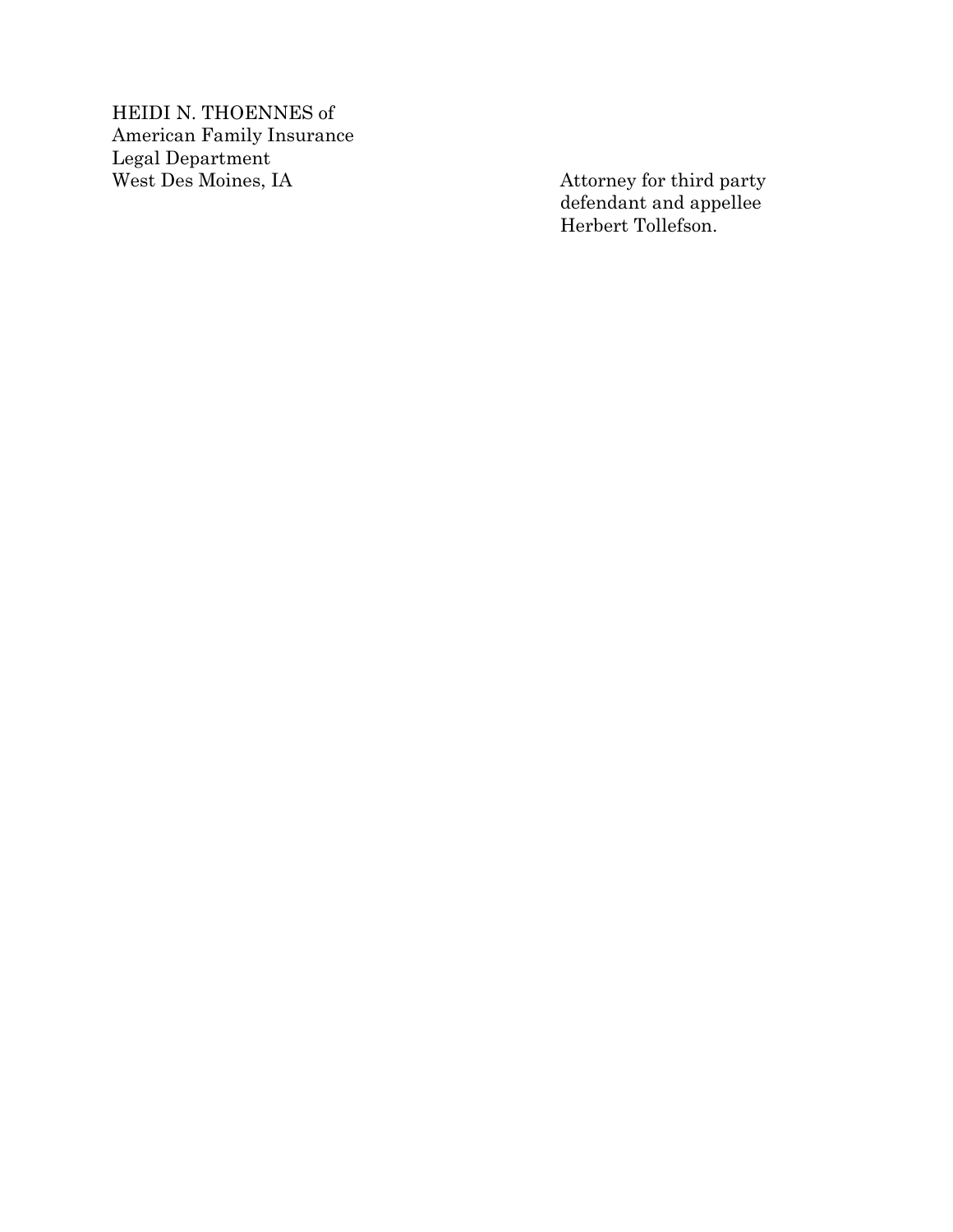HEIDI N. THOEN NES of American Family Insurance Legal Department

Attorney for third party defendant and appellee Herbert Tollefson.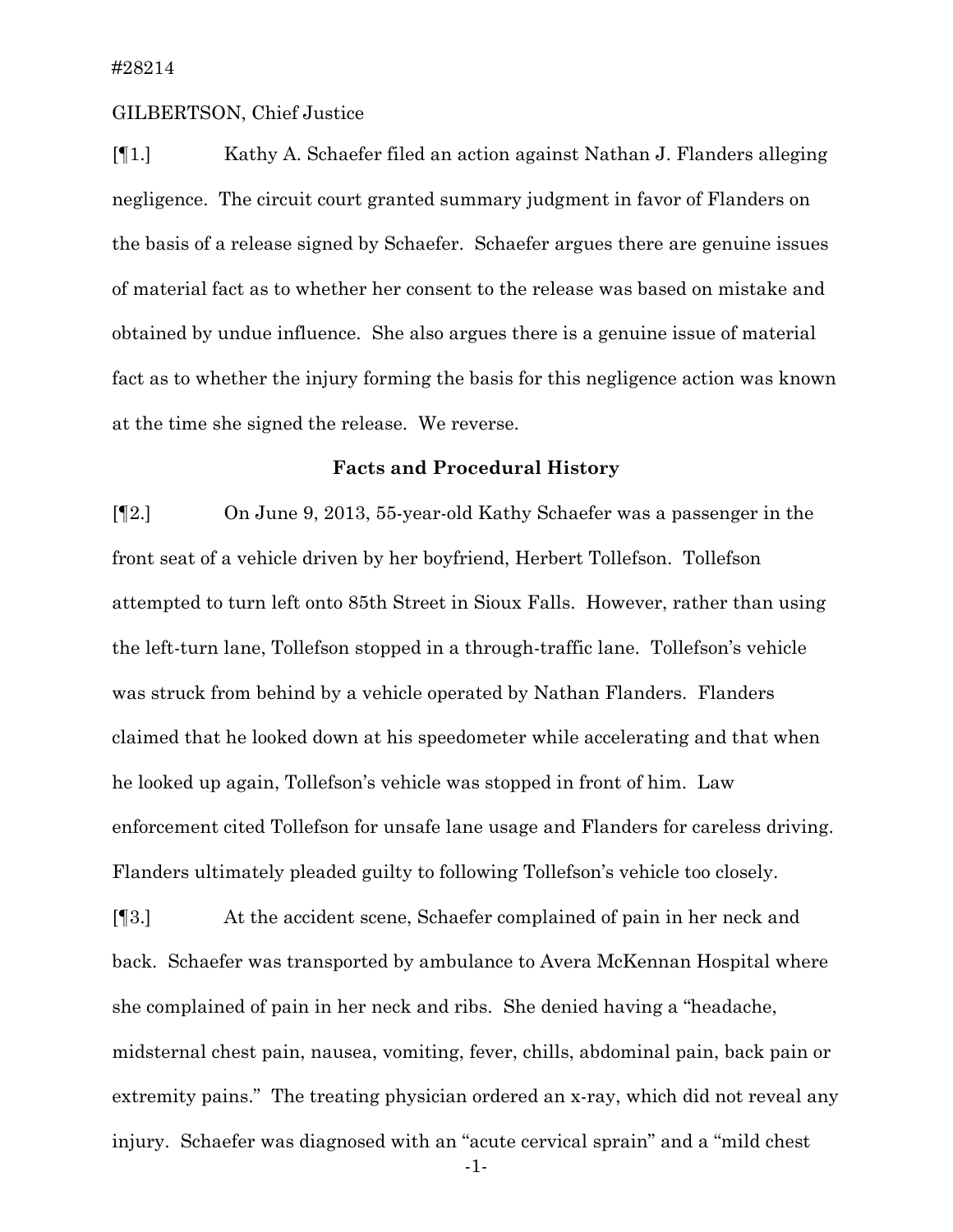### GILBERTSON, Chief Justice

[¶1.] Kathy A. Schaefer filed an action against Nathan J. Flanders alleging negligence. The circuit court granted summary judgment in favor of Flanders on the basis of a release signed by Schaefer. Schaefer argues there are genuine issues of material fact as to whether her consent to the release was based on mistake and obtained by undue influence. She also argues there is a genuine issue of material fact as to whether the injury forming the basis for this negligence action was known at the time she signed the release. We reverse.

### **Facts and Procedural History**

[¶2.] On June 9, 2013, 55-year-old Kathy Schaefer was a passenger in the front seat of a vehicle driven by her boyfriend, Herbert Tollefson. Tollefson attempted to turn left onto 85th Street in Sioux Falls. However, rather than using the left-turn lane, Tollefson stopped in a through-traffic lane. Tollefson's vehicle was struck from behind by a vehicle operated by Nathan Flanders. Flanders claimed that he looked down at his speedometer while accelerating and that when he looked up again, Tollefson's vehicle was stopped in front of him. Law enforcement cited Tollefson for unsafe lane usage and Flanders for careless driving. Flanders ultimately pleaded guilty to following Tollefson's vehicle too closely.

[¶3.] At the accident scene, Schaefer complained of pain in her neck and back. Schaefer was transported by ambulance to Avera McKennan Hospital where she complained of pain in her neck and ribs. She denied having a "headache, midsternal chest pain, nausea, vomiting, fever, chills, abdominal pain, back pain or extremity pains." The treating physician ordered an x-ray, which did not reveal any injury. Schaefer was diagnosed with an "acute cervical sprain" and a "mild chest

-1-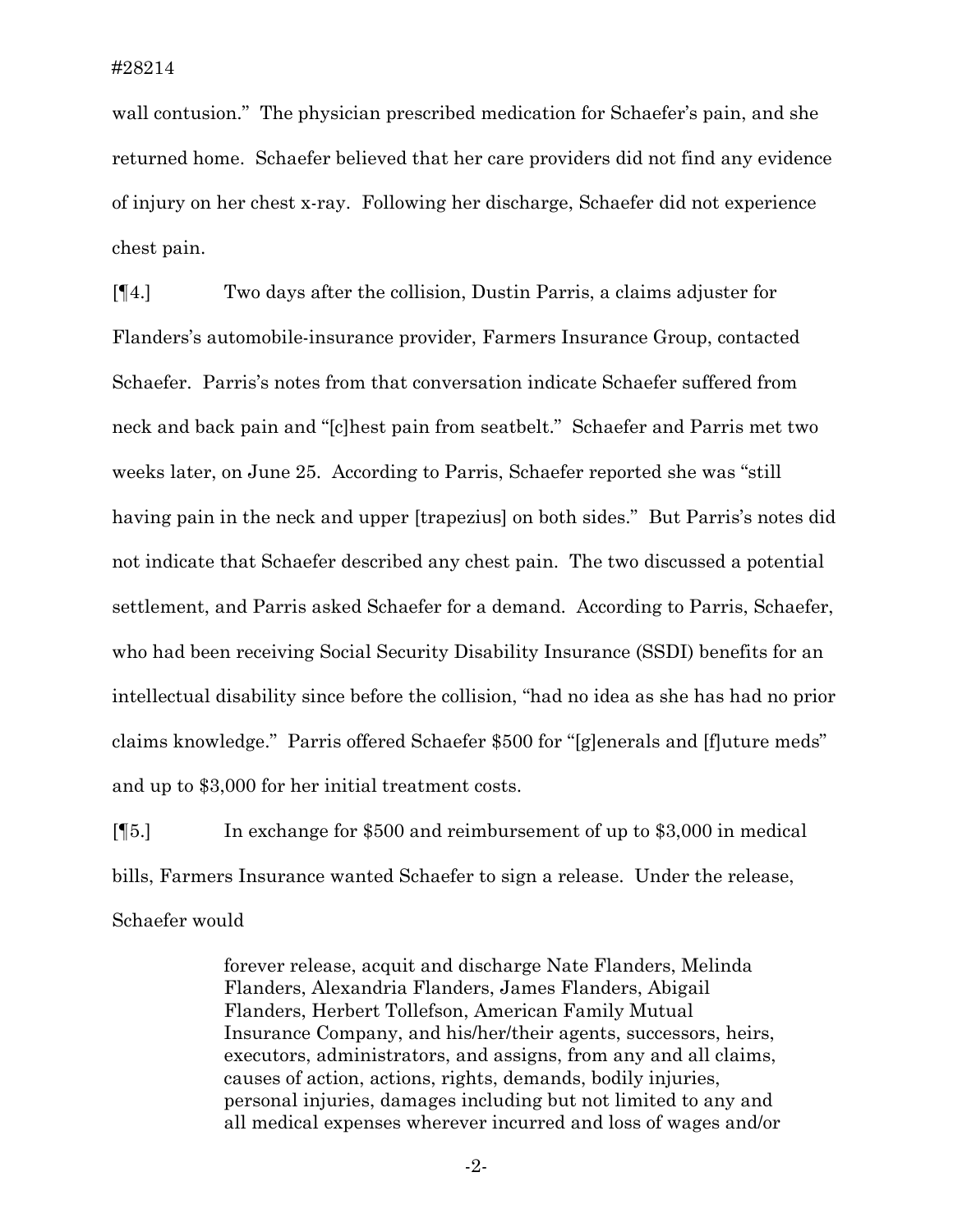wall contusion." The physician prescribed medication for Schaefer's pain, and she returned home. Schaefer believed that her care providers did not find any evidence of injury on her chest x-ray. Following her discharge, Schaefer did not experience chest pain.

[¶4.] Two days after the collision, Dustin Parris, a claims adjuster for Flanders's automobile-insurance provider, Farmers Insurance Group, contacted Schaefer. Parris's notes from that conversation indicate Schaefer suffered from neck and back pain and "[c]hest pain from seatbelt." Schaefer and Parris met two weeks later, on June 25. According to Parris, Schaefer reported she was "still having pain in the neck and upper [trapezius] on both sides." But Parris's notes did not indicate that Schaefer described any chest pain. The two discussed a potential settlement, and Parris asked Schaefer for a demand. According to Parris, Schaefer, who had been receiving Social Security Disability Insurance (SSDI) benefits for an intellectual disability since before the collision, "had no idea as she has had no prior claims knowledge." Parris offered Schaefer \$500 for "[g]enerals and [f]uture meds" and up to \$3,000 for her initial treatment costs.

[¶5.] In exchange for \$500 and reimbursement of up to \$3,000 in medical bills, Farmers Insurance wanted Schaefer to sign a release. Under the release, Schaefer would

> forever release, acquit and discharge Nate Flanders, Melinda Flanders, Alexandria Flanders, James Flanders, Abigail Flanders, Herbert Tollefson, American Family Mutual Insurance Company, and his/her/their agents, successors, heirs, executors, administrators, and assigns, from any and all claims, causes of action, actions, rights, demands, bodily injuries, personal injuries, damages including but not limited to any and all medical expenses wherever incurred and loss of wages and/or

> > -2-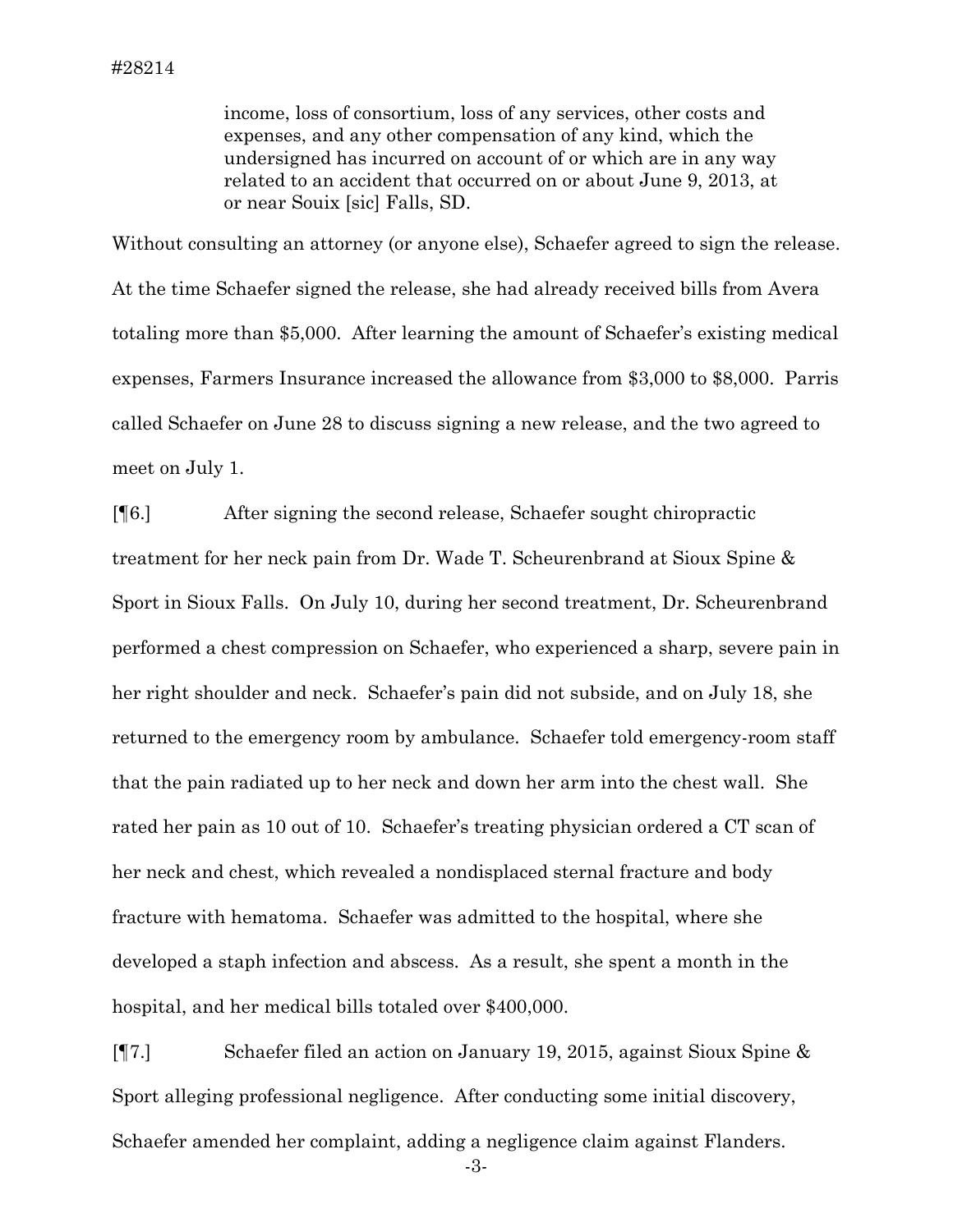income, loss of consortium, loss of any services, other costs and expenses, and any other compensation of any kind, which the undersigned has incurred on account of or which are in any way related to an accident that occurred on or about June 9, 2013, at or near Souix [sic] Falls, SD.

Without consulting an attorney (or anyone else), Schaefer agreed to sign the release. At the time Schaefer signed the release, she had already received bills from Avera totaling more than \$5,000. After learning the amount of Schaefer's existing medical expenses, Farmers Insurance increased the allowance from \$3,000 to \$8,000. Parris called Schaefer on June 28 to discuss signing a new release, and the two agreed to meet on July 1.

[¶6.] After signing the second release, Schaefer sought chiropractic treatment for her neck pain from Dr. Wade T. Scheurenbrand at Sioux Spine & Sport in Sioux Falls. On July 10, during her second treatment, Dr. Scheurenbrand performed a chest compression on Schaefer, who experienced a sharp, severe pain in her right shoulder and neck. Schaefer's pain did not subside, and on July 18, she returned to the emergency room by ambulance. Schaefer told emergency-room staff that the pain radiated up to her neck and down her arm into the chest wall. She rated her pain as 10 out of 10. Schaefer's treating physician ordered a CT scan of her neck and chest, which revealed a nondisplaced sternal fracture and body fracture with hematoma. Schaefer was admitted to the hospital, where she developed a staph infection and abscess. As a result, she spent a month in the hospital, and her medical bills totaled over \$400,000.

[¶7.] Schaefer filed an action on January 19, 2015, against Sioux Spine & Sport alleging professional negligence. After conducting some initial discovery, Schaefer amended her complaint, adding a negligence claim against Flanders.

-3-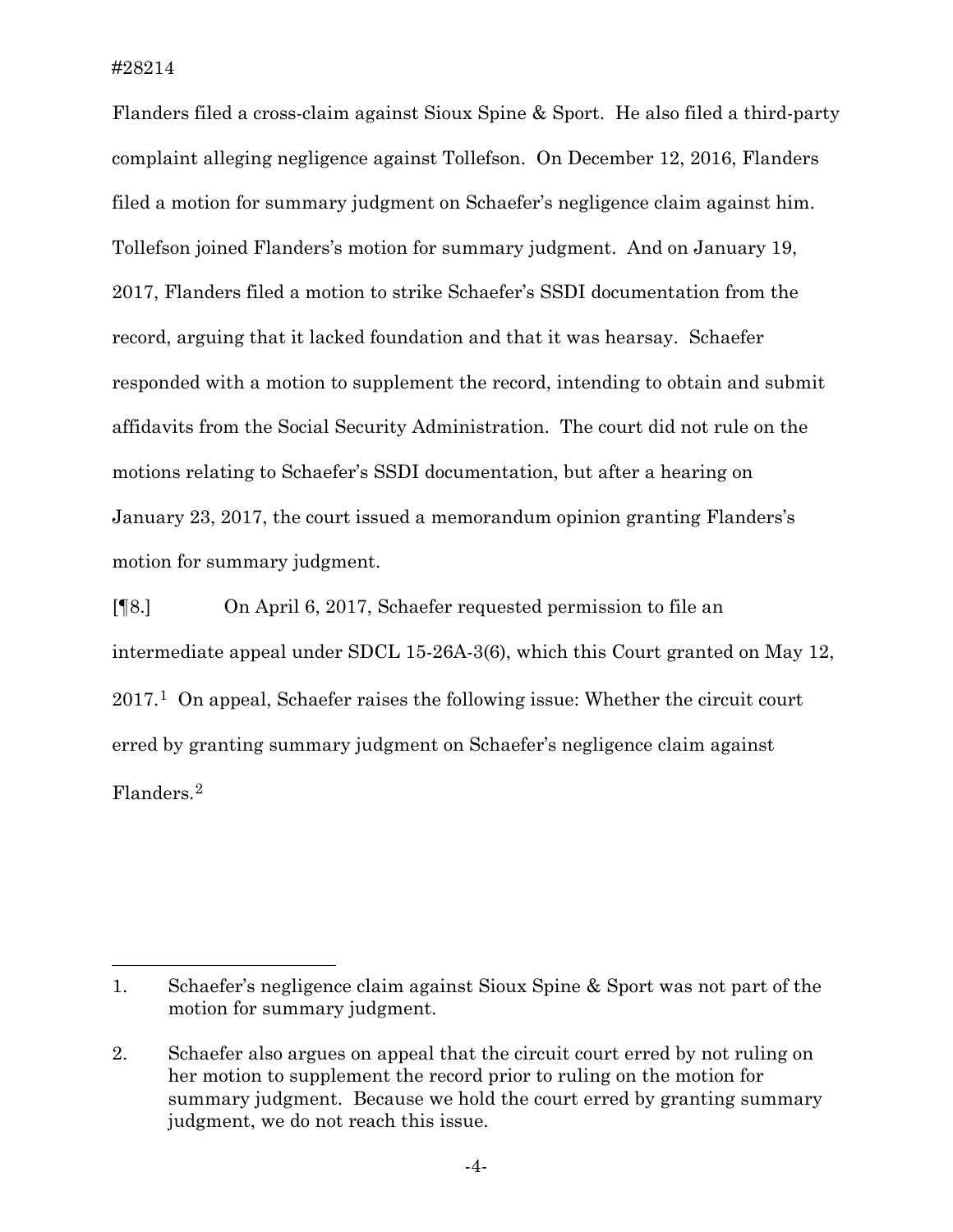#28214

 $\overline{a}$ 

Flanders filed a cross-claim against Sioux Spine & Sport. He also filed a third-party complaint alleging negligence against Tollefson. On December 12, 2016, Flanders filed a motion for summary judgment on Schaefer's negligence claim against him. Tollefson joined Flanders's motion for summary judgment. And on January 19, 2017, Flanders filed a motion to strike Schaefer's SSDI documentation from the record, arguing that it lacked foundation and that it was hearsay. Schaefer responded with a motion to supplement the record, intending to obtain and submit affidavits from the Social Security Administration. The court did not rule on the motions relating to Schaefer's SSDI documentation, but after a hearing on January 23, 2017, the court issued a memorandum opinion granting Flanders's motion for summary judgment.

[¶8.] On April 6, 2017, Schaefer requested permission to file an intermediate appeal under SDCL 15-26A-3(6), which this Court granted on May 12, 2017.[1](#page-5-0) On appeal, Schaefer raises the following issue: Whether the circuit court erred by granting summary judgment on Schaefer's negligence claim against Flanders.[2](#page-5-1)

<span id="page-5-0"></span><sup>1.</sup> Schaefer's negligence claim against Sioux Spine & Sport was not part of the motion for summary judgment.

<span id="page-5-1"></span><sup>2.</sup> Schaefer also argues on appeal that the circuit court erred by not ruling on her motion to supplement the record prior to ruling on the motion for summary judgment. Because we hold the court erred by granting summary judgment, we do not reach this issue.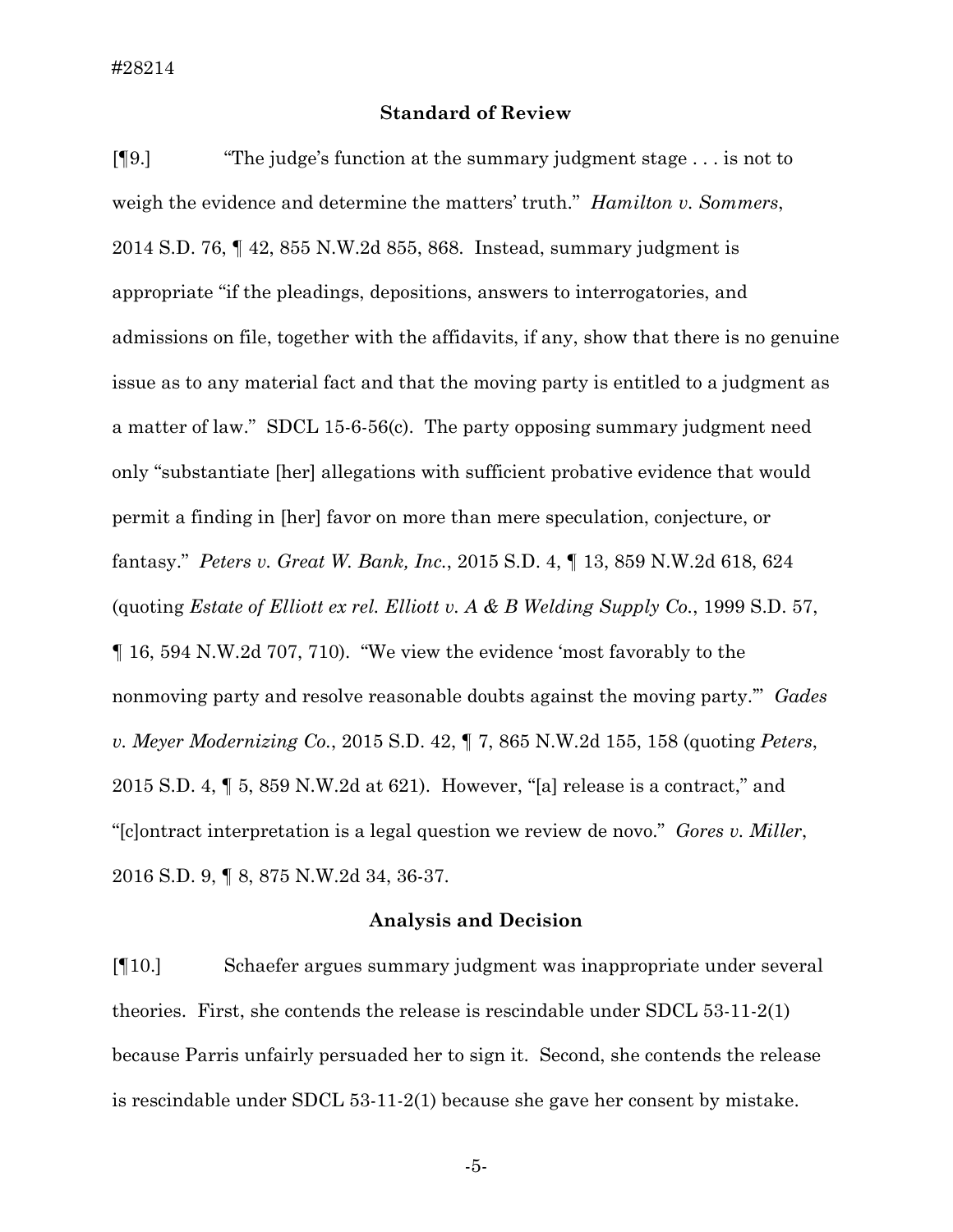### **Standard of Review**

[¶9.] "The judge's function at the summary judgment stage . . . is not to weigh the evidence and determine the matters' truth." *Hamilton v. Sommers*, 2014 S.D. 76, ¶ 42, 855 N.W.2d 855, 868. Instead, summary judgment is appropriate "if the pleadings, depositions, answers to interrogatories, and admissions on file, together with the affidavits, if any, show that there is no genuine issue as to any material fact and that the moving party is entitled to a judgment as a matter of law." SDCL 15-6-56(c). The party opposing summary judgment need only "substantiate [her] allegations with sufficient probative evidence that would permit a finding in [her] favor on more than mere speculation, conjecture, or fantasy." *Peters v. Great W. Bank, Inc.*, 2015 S.D. 4, ¶ 13, 859 N.W.2d 618, 624 (quoting *Estate of Elliott ex rel. Elliott v. A & B Welding Supply Co.*, 1999 S.D. 57, ¶ 16, 594 N.W.2d 707, 710). "We view the evidence 'most favorably to the nonmoving party and resolve reasonable doubts against the moving party.'" *Gades v. Meyer Modernizing Co.*, 2015 S.D. 42, ¶ 7, 865 N.W.2d 155, 158 (quoting *Peters*, 2015 S.D. 4, ¶ 5, 859 N.W.2d at 621). However, "[a] release is a contract," and "[c]ontract interpretation is a legal question we review de novo." *Gores v. Miller*, 2016 S.D. 9, ¶ 8, 875 N.W.2d 34, 36-37.

#### **Analysis and Decision**

[¶10.] Schaefer argues summary judgment was inappropriate under several theories. First, she contends the release is rescindable under SDCL 53-11-2(1) because Parris unfairly persuaded her to sign it. Second, she contends the release is rescindable under SDCL 53-11-2(1) because she gave her consent by mistake.

-5-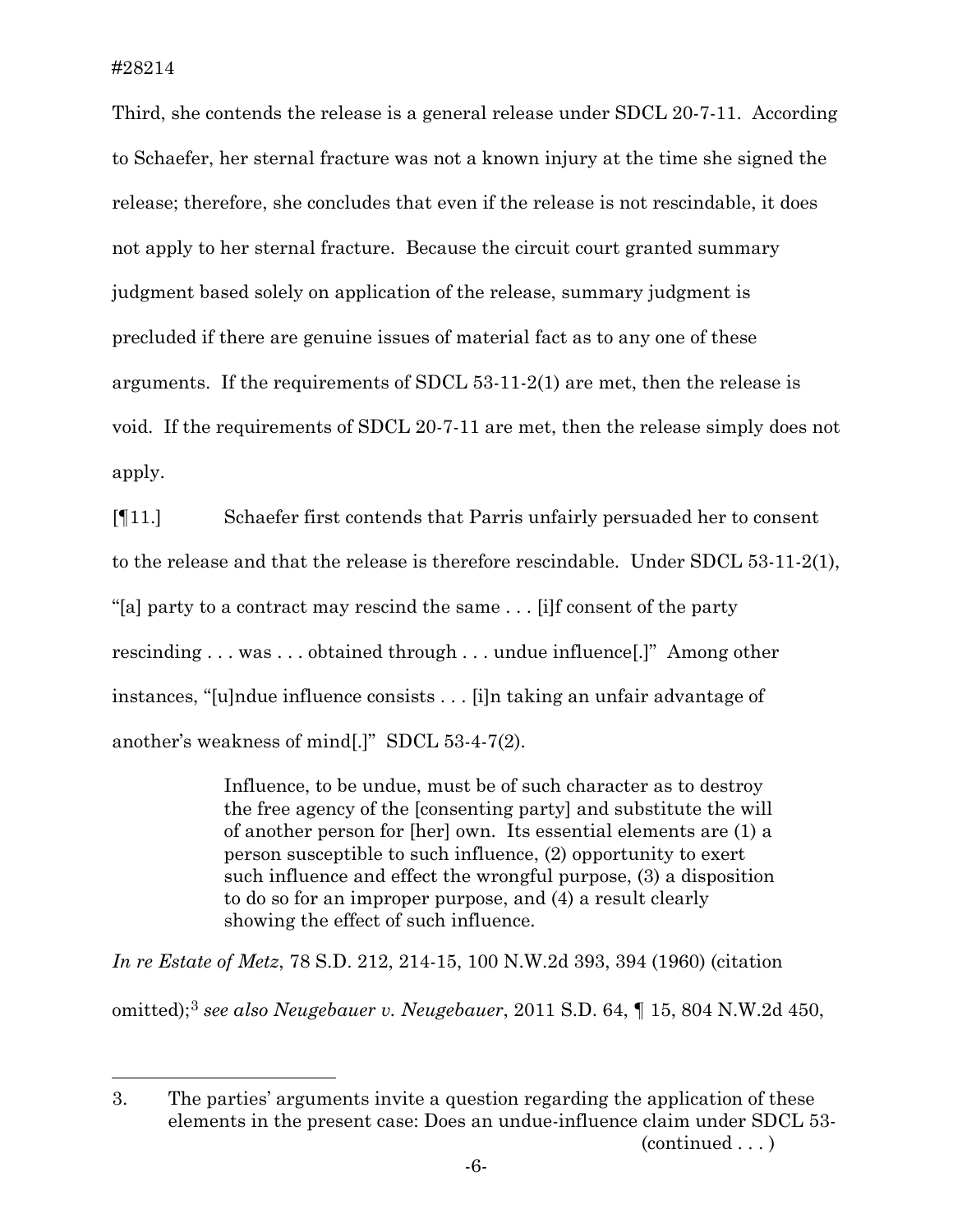$\overline{a}$ 

Third, she contends the release is a general release under SDCL 20-7-11. According to Schaefer, her sternal fracture was not a known injury at the time she signed the release; therefore, she concludes that even if the release is not rescindable, it does not apply to her sternal fracture. Because the circuit court granted summary judgment based solely on application of the release, summary judgment is precluded if there are genuine issues of material fact as to any one of these arguments. If the requirements of SDCL 53-11-2(1) are met, then the release is void. If the requirements of SDCL 20-7-11 are met, then the release simply does not apply.

[¶11.] Schaefer first contends that Parris unfairly persuaded her to consent to the release and that the release is therefore rescindable. Under SDCL 53-11-2(1), "[a] party to a contract may rescind the same . . . [i]f consent of the party rescinding . . . was . . . obtained through . . . undue influence[.]" Among other instances, "[u]ndue influence consists . . . [i]n taking an unfair advantage of another's weakness of mind[.]" SDCL 53-4-7(2).

> Influence, to be undue, must be of such character as to destroy the free agency of the [consenting party] and substitute the will of another person for [her] own. Its essential elements are (1) a person susceptible to such influence, (2) opportunity to exert such influence and effect the wrongful purpose, (3) a disposition to do so for an improper purpose, and (4) a result clearly showing the effect of such influence.

*In re Estate of Metz*, 78 S.D. 212, 214-15, 100 N.W.2d 393, 394 (1960) (citation omitted);[3](#page-7-0) *see also Neugebauer v. Neugebauer*, 2011 S.D. 64, ¶ 15, 804 N.W.2d 450,

<span id="page-7-0"></span><sup>3.</sup> The parties' arguments invite a question regarding the application of these elements in the present case: Does an undue-influence claim under SDCL 53- (continued . . . )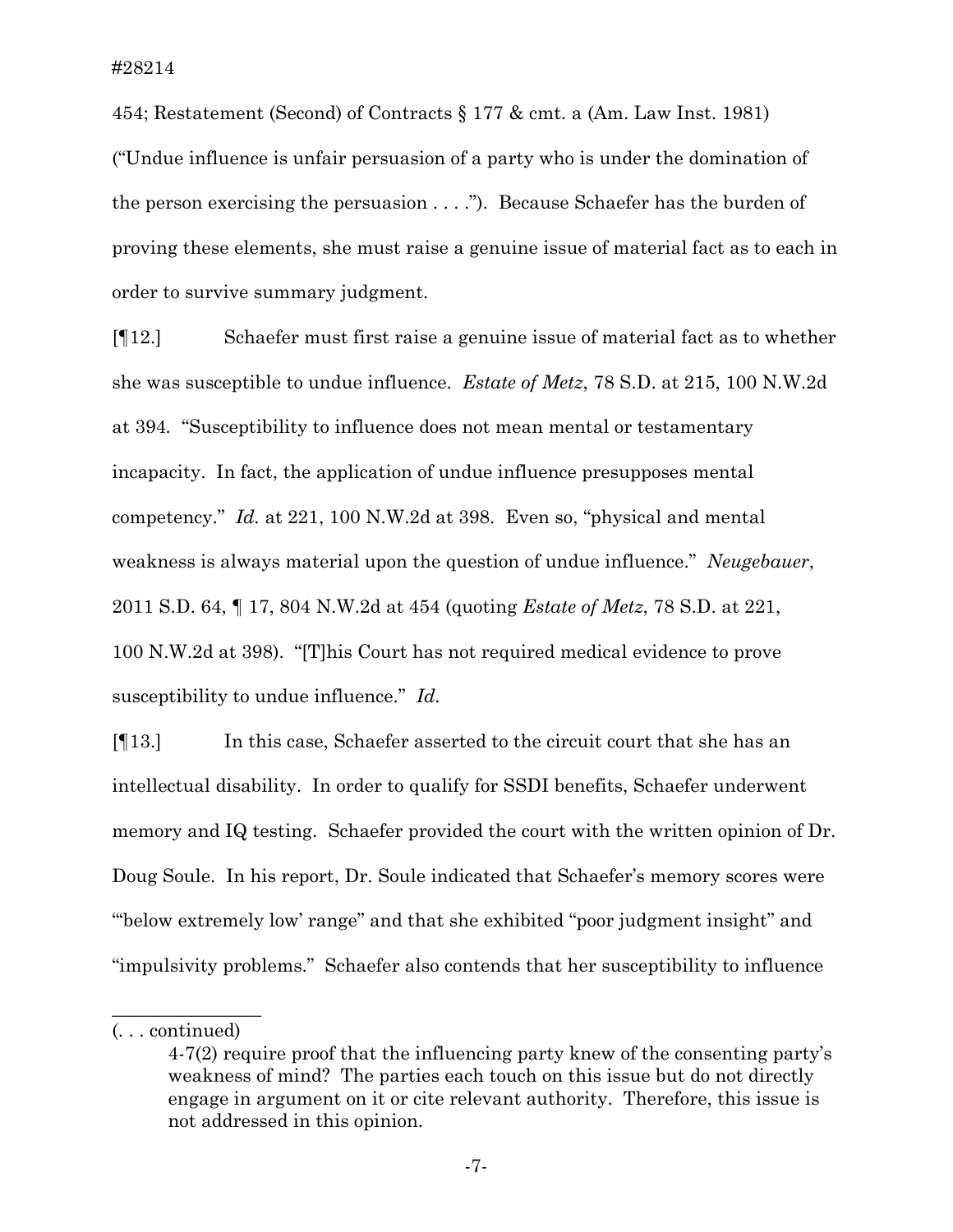454; Restatement (Second) of Contracts § 177 & cmt. a (Am. Law Inst. 1981) ("Undue influence is unfair persuasion of a party who is under the domination of the person exercising the persuasion . . . ."). Because Schaefer has the burden of proving these elements, she must raise a genuine issue of material fact as to each in order to survive summary judgment.

[¶12.] Schaefer must first raise a genuine issue of material fact as to whether she was susceptible to undue influence. *Estate of Metz*, 78 S.D. at 215, 100 N.W.2d at 394*.* "Susceptibility to influence does not mean mental or testamentary incapacity. In fact, the application of undue influence presupposes mental competency." *Id.* at 221, 100 N.W.2d at 398. Even so, "physical and mental weakness is always material upon the question of undue influence." *Neugebauer*, 2011 S.D. 64, ¶ 17, 804 N.W.2d at 454 (quoting *Estate of Metz*, 78 S.D. at 221, 100 N.W.2d at 398). "[T]his Court has not required medical evidence to prove susceptibility to undue influence." *Id.*

[¶13.] In this case, Schaefer asserted to the circuit court that she has an intellectual disability. In order to qualify for SSDI benefits, Schaefer underwent memory and IQ testing. Schaefer provided the court with the written opinion of Dr. Doug Soule. In his report, Dr. Soule indicated that Schaefer's memory scores were "'below extremely low' range" and that she exhibited "poor judgment insight" and "impulsivity problems." Schaefer also contends that her susceptibility to influence

 $\overline{\phantom{a}}$  , where  $\overline{\phantom{a}}$ 

<sup>(. . .</sup> continued)

<sup>4-7(2)</sup> require proof that the influencing party knew of the consenting party's weakness of mind? The parties each touch on this issue but do not directly engage in argument on it or cite relevant authority. Therefore, this issue is not addressed in this opinion.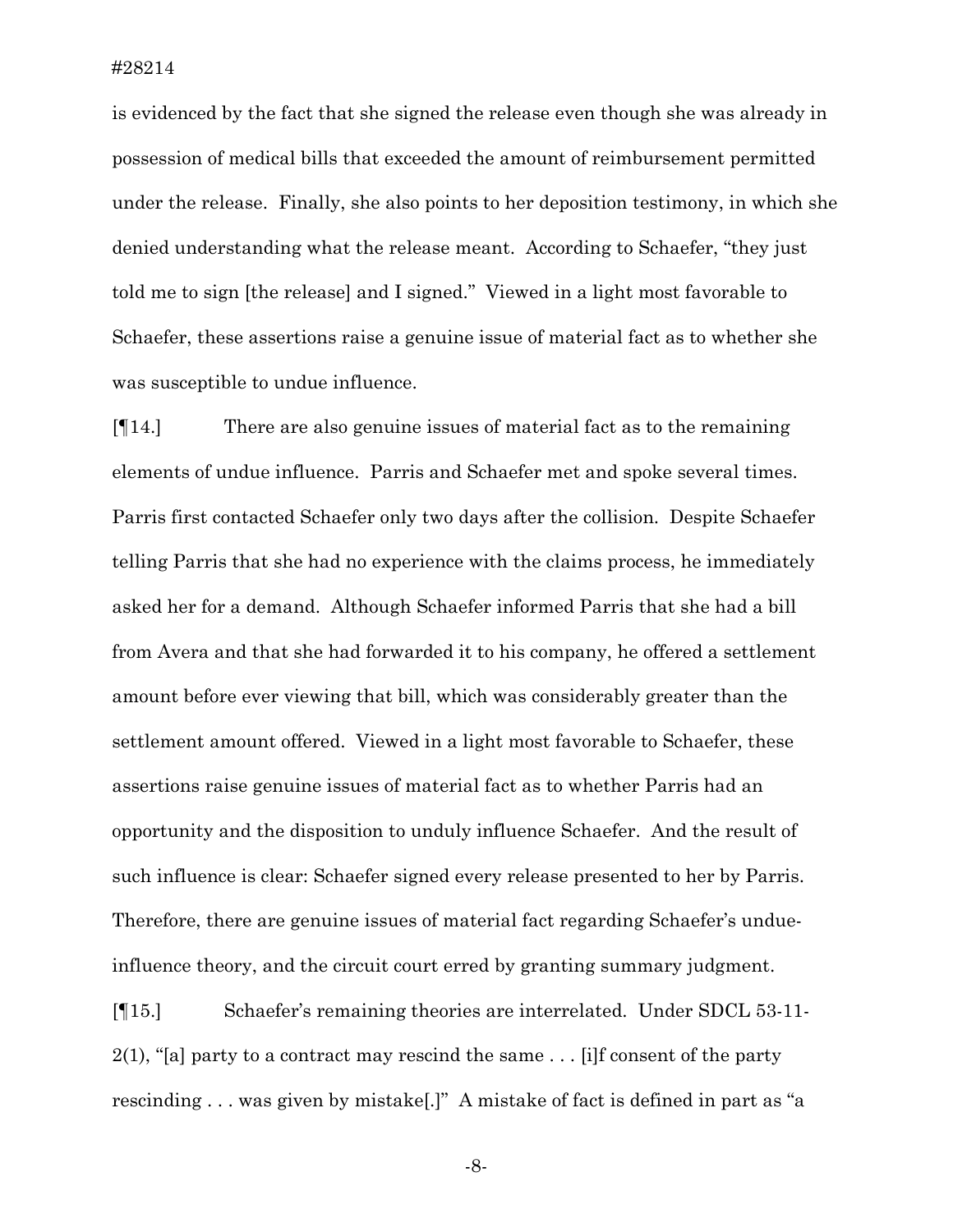is evidenced by the fact that she signed the release even though she was already in possession of medical bills that exceeded the amount of reimbursement permitted under the release. Finally, she also points to her deposition testimony, in which she denied understanding what the release meant. According to Schaefer, "they just told me to sign [the release] and I signed." Viewed in a light most favorable to Schaefer, these assertions raise a genuine issue of material fact as to whether she was susceptible to undue influence.

[¶14.] There are also genuine issues of material fact as to the remaining elements of undue influence. Parris and Schaefer met and spoke several times. Parris first contacted Schaefer only two days after the collision. Despite Schaefer telling Parris that she had no experience with the claims process, he immediately asked her for a demand. Although Schaefer informed Parris that she had a bill from Avera and that she had forwarded it to his company, he offered a settlement amount before ever viewing that bill, which was considerably greater than the settlement amount offered. Viewed in a light most favorable to Schaefer, these assertions raise genuine issues of material fact as to whether Parris had an opportunity and the disposition to unduly influence Schaefer. And the result of such influence is clear: Schaefer signed every release presented to her by Parris. Therefore, there are genuine issues of material fact regarding Schaefer's undueinfluence theory, and the circuit court erred by granting summary judgment.

[¶15.] Schaefer's remaining theories are interrelated. Under SDCL 53-11- 2(1), "[a] party to a contract may rescind the same  $\ldots$  [i]f consent of the party rescinding . . . was given by mistake[.]" A mistake of fact is defined in part as "a

-8-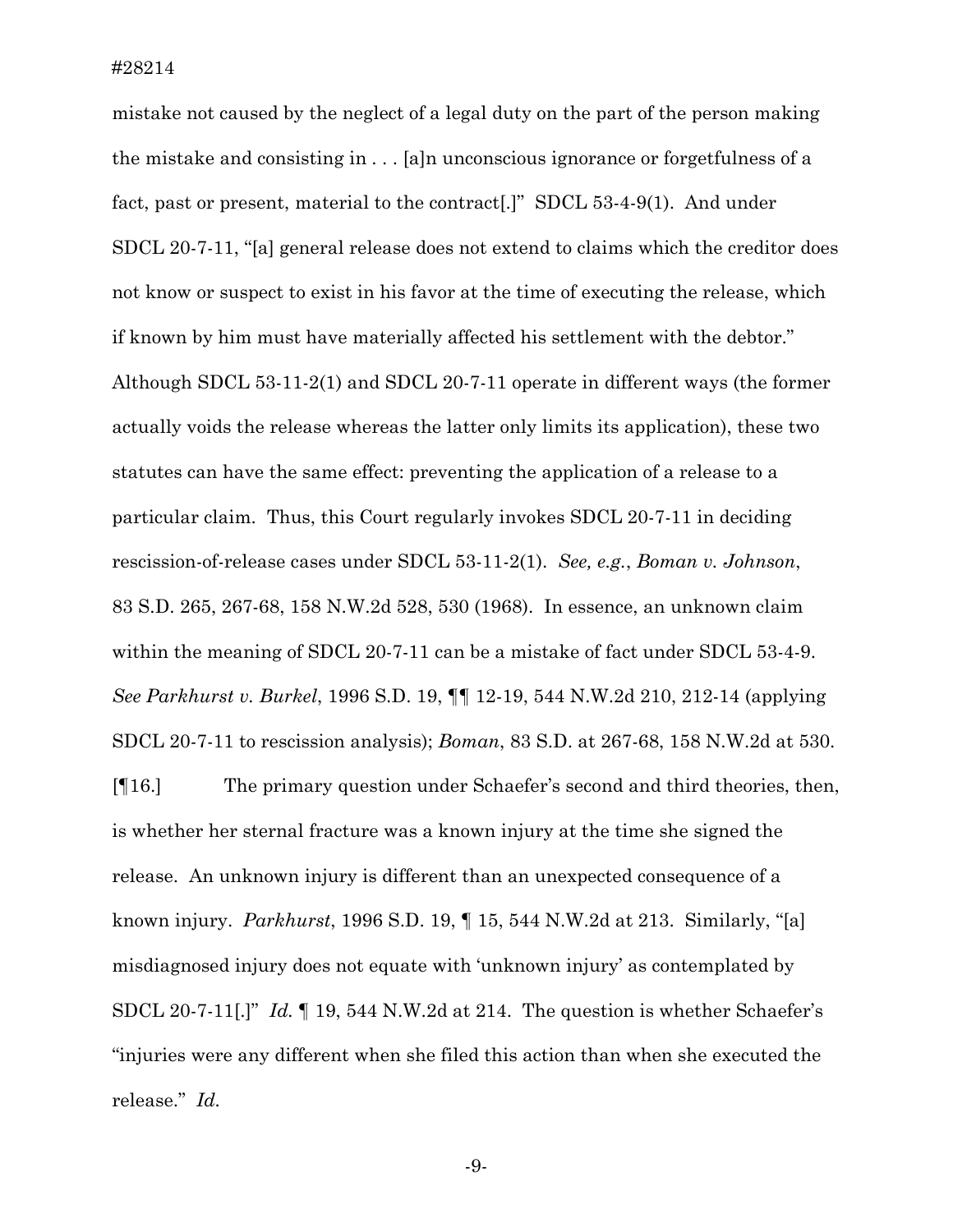mistake not caused by the neglect of a legal duty on the part of the person making the mistake and consisting in . . . [a]n unconscious ignorance or forgetfulness of a fact, past or present, material to the contract[.]" SDCL 53-4-9(1). And under SDCL 20-7-11, "[a] general release does not extend to claims which the creditor does not know or suspect to exist in his favor at the time of executing the release, which if known by him must have materially affected his settlement with the debtor." Although SDCL 53-11-2(1) and SDCL 20-7-11 operate in different ways (the former actually voids the release whereas the latter only limits its application), these two statutes can have the same effect: preventing the application of a release to a particular claim. Thus, this Court regularly invokes SDCL 20-7-11 in deciding rescission-of-release cases under SDCL 53-11-2(1). *See, e.g.*, *Boman v. Johnson*, 83 S.D. 265, 267-68, 158 N.W.2d 528, 530 (1968). In essence, an unknown claim within the meaning of SDCL 20-7-11 can be a mistake of fact under SDCL 53-4-9. *See Parkhurst v. Burkel*, 1996 S.D. 19, ¶¶ 12-19, 544 N.W.2d 210, 212-14 (applying SDCL 20-7-11 to rescission analysis); *Boman*, 83 S.D. at 267-68, 158 N.W.2d at 530.

[¶16.] The primary question under Schaefer's second and third theories, then, is whether her sternal fracture was a known injury at the time she signed the release. An unknown injury is different than an unexpected consequence of a known injury. *Parkhurst*, 1996 S.D. 19, ¶ 15, 544 N.W.2d at 213. Similarly, "[a] misdiagnosed injury does not equate with 'unknown injury' as contemplated by SDCL 20-7-11[.]" *Id.* ¶ 19, 544 N.W.2d at 214. The question is whether Schaefer's "injuries were any different when she filed this action than when she executed the release." *Id.*

-9-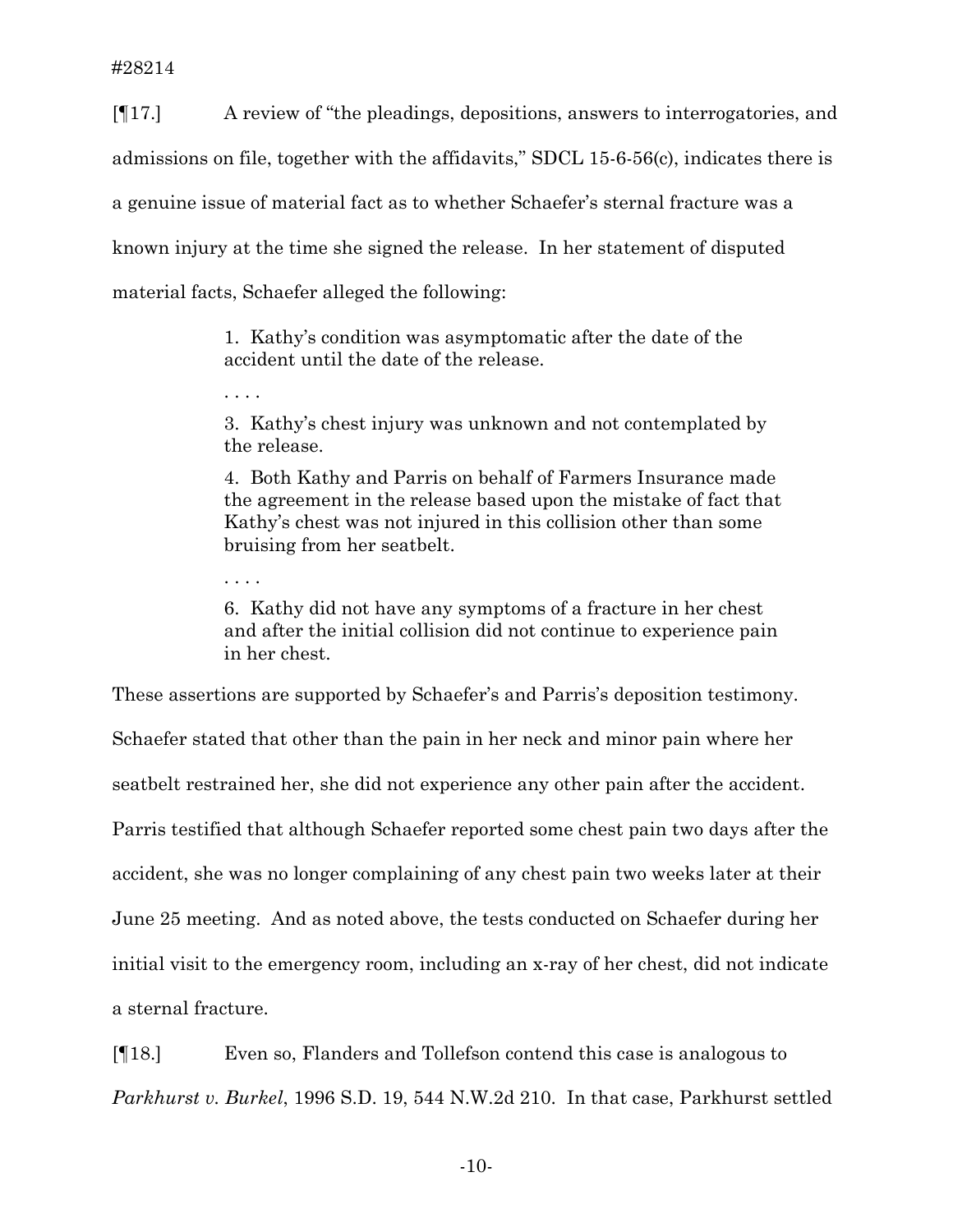[¶17.] A review of "the pleadings, depositions, answers to interrogatories, and admissions on file, together with the affidavits," SDCL 15-6-56(c), indicates there is a genuine issue of material fact as to whether Schaefer's sternal fracture was a known injury at the time she signed the release. In her statement of disputed material facts, Schaefer alleged the following:

> 1. Kathy's condition was asymptomatic after the date of the accident until the date of the release.

3. Kathy's chest injury was unknown and not contemplated by the release.

4. Both Kathy and Parris on behalf of Farmers Insurance made the agreement in the release based upon the mistake of fact that Kathy's chest was not injured in this collision other than some bruising from her seatbelt.

. . . .

. . . .

6. Kathy did not have any symptoms of a fracture in her chest and after the initial collision did not continue to experience pain in her chest.

These assertions are supported by Schaefer's and Parris's deposition testimony. Schaefer stated that other than the pain in her neck and minor pain where her seatbelt restrained her, she did not experience any other pain after the accident. Parris testified that although Schaefer reported some chest pain two days after the accident, she was no longer complaining of any chest pain two weeks later at their June 25 meeting. And as noted above, the tests conducted on Schaefer during her initial visit to the emergency room, including an x-ray of her chest, did not indicate a sternal fracture.

[¶18.] Even so, Flanders and Tollefson contend this case is analogous to *Parkhurst v. Burkel*, 1996 S.D. 19, 544 N.W.2d 210. In that case, Parkhurst settled

-10-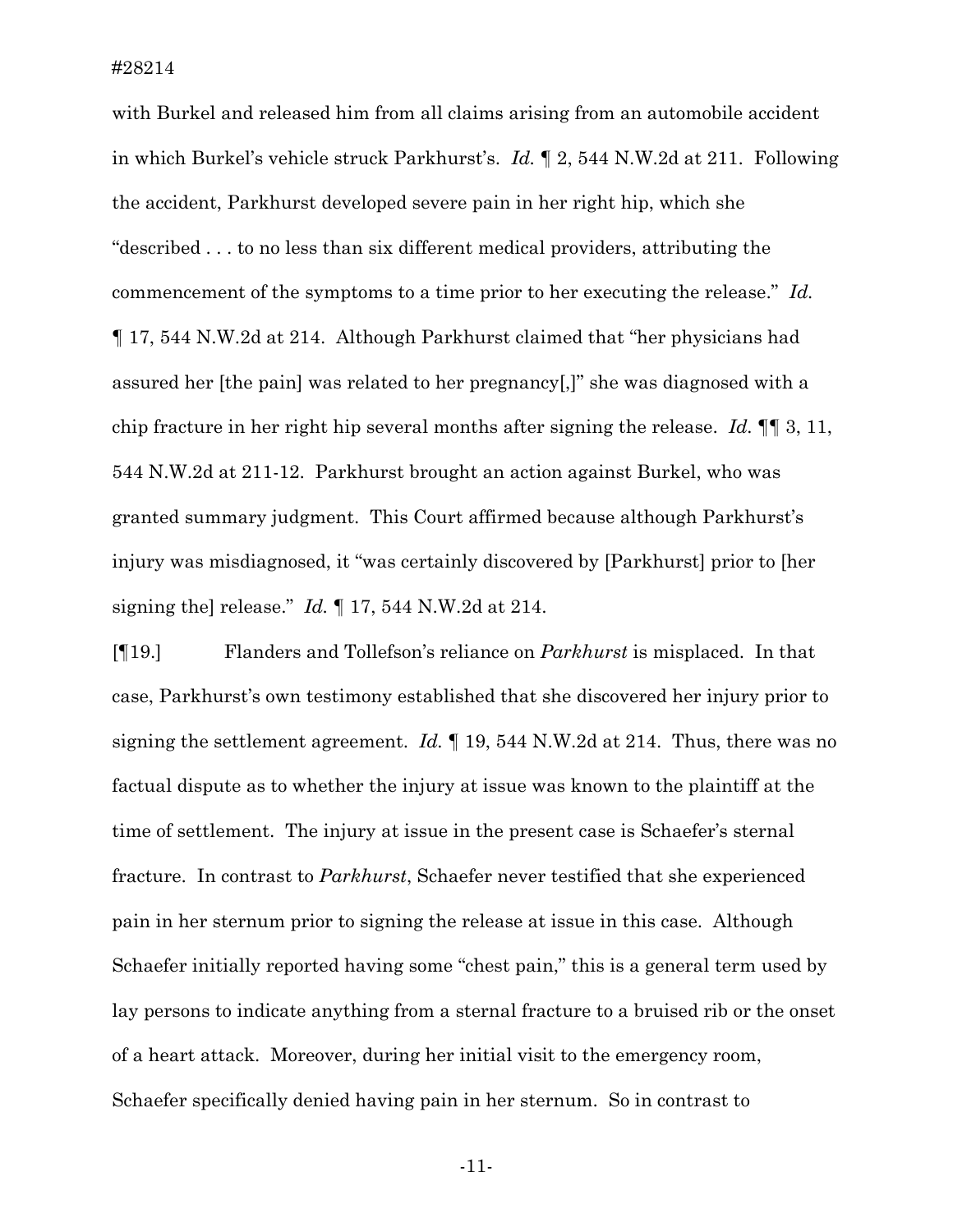with Burkel and released him from all claims arising from an automobile accident in which Burkel's vehicle struck Parkhurst's. *Id.* ¶ 2, 544 N.W.2d at 211. Following the accident, Parkhurst developed severe pain in her right hip, which she "described . . . to no less than six different medical providers, attributing the commencement of the symptoms to a time prior to her executing the release." *Id.* ¶ 17, 544 N.W.2d at 214. Although Parkhurst claimed that "her physicians had assured her [the pain] was related to her pregnancy[,]" she was diagnosed with a chip fracture in her right hip several months after signing the release. *Id.* ¶¶ 3, 11, 544 N.W.2d at 211-12. Parkhurst brought an action against Burkel, who was granted summary judgment. This Court affirmed because although Parkhurst's injury was misdiagnosed, it "was certainly discovered by [Parkhurst] prior to [her signing the] release." *Id.* ¶ 17, 544 N.W.2d at 214.

[¶19.] Flanders and Tollefson's reliance on *Parkhurst* is misplaced. In that case, Parkhurst's own testimony established that she discovered her injury prior to signing the settlement agreement. *Id.* ¶ 19, 544 N.W.2d at 214. Thus, there was no factual dispute as to whether the injury at issue was known to the plaintiff at the time of settlement. The injury at issue in the present case is Schaefer's sternal fracture. In contrast to *Parkhurst*, Schaefer never testified that she experienced pain in her sternum prior to signing the release at issue in this case. Although Schaefer initially reported having some "chest pain," this is a general term used by lay persons to indicate anything from a sternal fracture to a bruised rib or the onset of a heart attack. Moreover, during her initial visit to the emergency room, Schaefer specifically denied having pain in her sternum. So in contrast to

-11-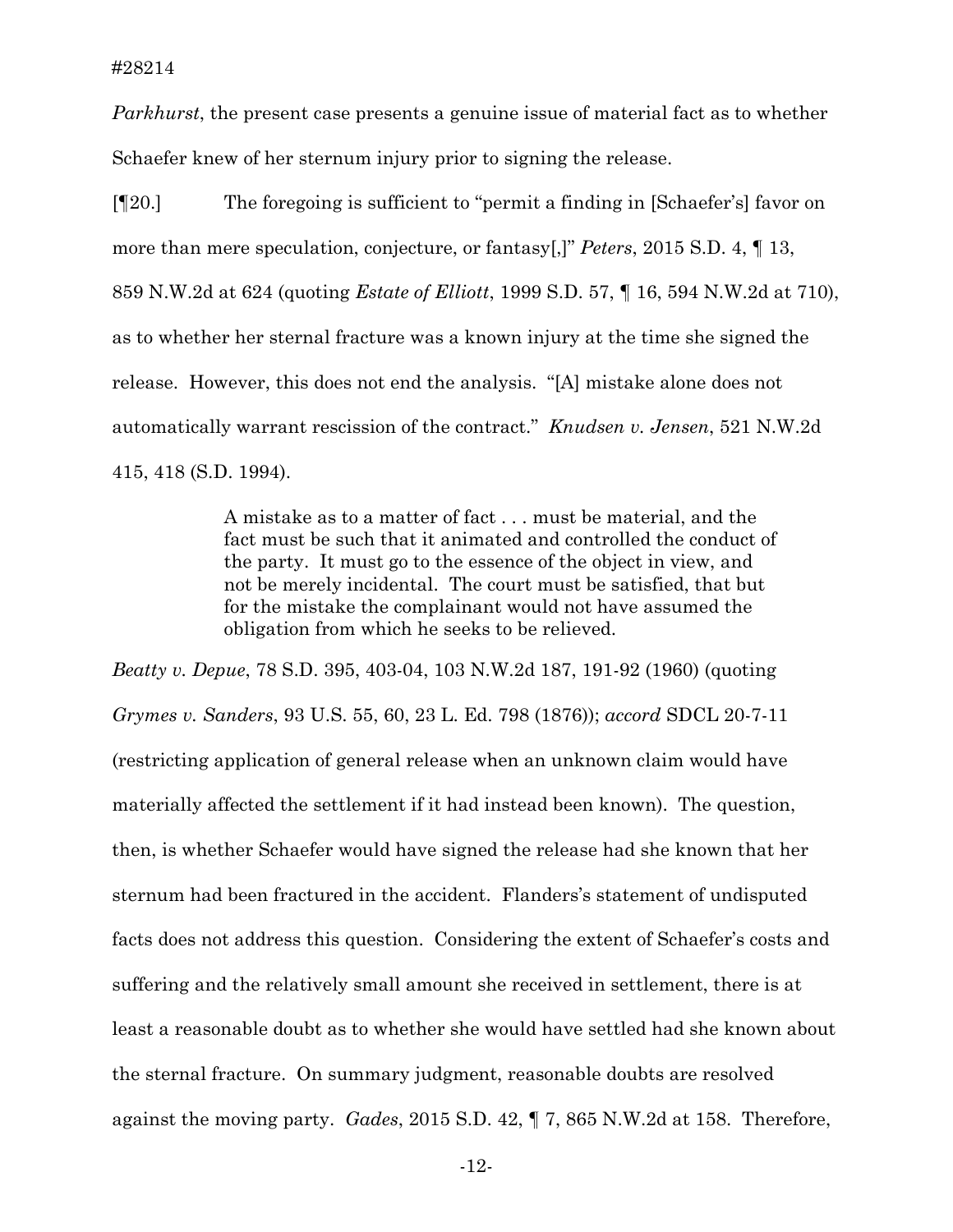*Parkhurst*, the present case presents a genuine issue of material fact as to whether Schaefer knew of her sternum injury prior to signing the release.

[¶20.] The foregoing is sufficient to "permit a finding in [Schaefer's] favor on more than mere speculation, conjecture, or fantasy[,]" *Peters*, 2015 S.D. 4, ¶ 13, 859 N.W.2d at 624 (quoting *Estate of Elliott*, 1999 S.D. 57, ¶ 16, 594 N.W.2d at 710), as to whether her sternal fracture was a known injury at the time she signed the release. However, this does not end the analysis. "[A] mistake alone does not automatically warrant rescission of the contract." *Knudsen v. Jensen*, 521 N.W.2d 415, 418 (S.D. 1994).

> A mistake as to a matter of fact . . . must be material, and the fact must be such that it animated and controlled the conduct of the party. It must go to the essence of the object in view, and not be merely incidental. The court must be satisfied, that but for the mistake the complainant would not have assumed the obligation from which he seeks to be relieved.

*Beatty v. Depue*, 78 S.D. 395, 403-04, 103 N.W.2d 187, 191-92 (1960) (quoting *Grymes v. Sanders*, 93 U.S. 55, 60, 23 L. Ed. 798 (1876)); *accord* SDCL 20-7-11 (restricting application of general release when an unknown claim would have materially affected the settlement if it had instead been known). The question, then, is whether Schaefer would have signed the release had she known that her sternum had been fractured in the accident. Flanders's statement of undisputed facts does not address this question. Considering the extent of Schaefer's costs and suffering and the relatively small amount she received in settlement, there is at least a reasonable doubt as to whether she would have settled had she known about the sternal fracture. On summary judgment, reasonable doubts are resolved against the moving party. *Gades*, 2015 S.D. 42, ¶ 7, 865 N.W.2d at 158. Therefore,

-12-